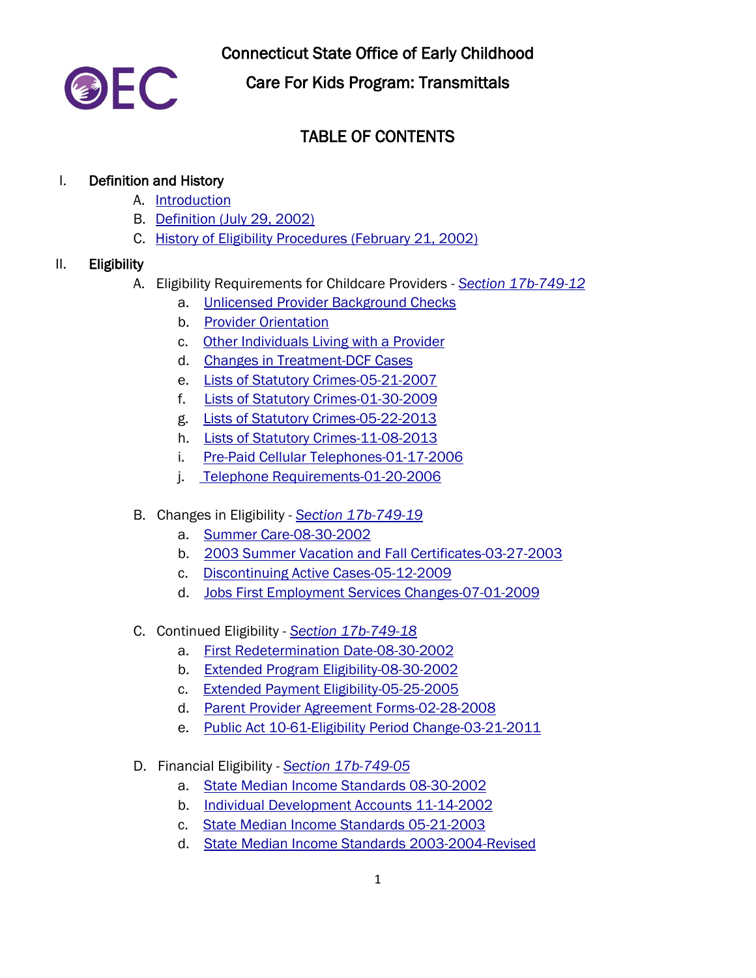

Connecticut State Office of Early Childhood

Care For Kids Program: Transmittals

# TABLE OF CONTENTS

#### I. Definition and History

- A. [Introduction](http://www.ct.gov/oec/lib/oec/earlycare/c4k/transmittals/2_definition/a._introduction_2015.pdf)
- B. [Definition \(July 29, 2002\)](http://www.ct.gov/oec/lib/oec/earlycare/c4k/transmittals/2_definition/b._definition-2002.pdf)
- C. History of Eligibility [Procedures \(February 21, 2002\)](http://www.ct.gov/oec/lib/oec/earlycare/c4k/transmittals/2_definition/c._history-elligibilityprocedures.pdf)

#### II. Eligibility

- A. Eligibility Requirements for Childcare Providers *[Section 17b-749-12](http://www.ct.gov/oec/cwp/view.asp?a=4541&q=545048#17b74912)*
	- a. [Unlicensed Provider Background Checks](http://www.ct.gov/oec/lib/oec/earlycare/c4k/transmittals/3_eligibility/a_requirements/a-unlicensedproviderbackgroundchecks12-17-2007.pdf)
	- b. [Provider Orientation](http://www.ct.gov/oec/lib/oec/earlycare/c4k/transmittals/3_eligibility/a_requirements/b-providerorientationprogram09-23-2014.pdf)
	- c. [Other Individuals Living with a Provider](http://www.ct.gov/oec/lib/oec/earlycare/c4k/transmittals/3_eligibility/a_requirements/c-otherindividualslivingwithprovider07-29-2005.pdf)
	- d. [Changes in Treatment-DCF Cases](http://www.ct.gov/oec/lib/oec/earlycare/c4k/transmittals/3_eligibility/a_requirements/d-changesintreatmentdcf-cases08-17-2005.pdf)
	- e. [Lists of Statutory Crimes-05-21-2007](http://www.ct.gov/oec/lib/oec/earlycare/c4k/transmittals/3_eligibility/a_requirements/e-statutorycrimeslist-05-21-2007.pdf)
	- f. [Lists of Statutory Crimes-01-30-2009](http://www.ct.gov/oec/lib/oec/earlycare/c4k/transmittals/3_eligibility/a_requirements/f-statutorycrimeslist-01-30-2009.pdf)
	- g. [Lists of Statutory Crimes-05-22-2013](http://www.ct.gov/oec/lib/oec/earlycare/c4k/transmittals/3_eligibility/a_requirements/g-statutorycrimeslist-05-22-2013.pdf)
	- h. [Lists of Statutory Crimes-11-08-2013](http://www.ct.gov/oec/lib/oec/earlycare/c4k/transmittals/3_eligibility/a_requirements/h-statutorcrimlistnovemb-11-08-2013.pdf)
	- i. [Pre-Paid Cellular Telephones-01-17-2006](http://www.ct.gov/oec/lib/oec/earlycare/c4k/transmittals/3_eligibility/a_requirements/i-prepaidcellulartelephones-01-17-2006.pdf)
	- j. [Telephone Requirements-01-20-2006](http://www.ct.gov/oec/lib/oec/earlycare/c4k/transmittals/3_eligibility/a_requirements/j-telephonerquirements01-20-2006.pdf)
- B. Changes in Eligibility *[Section 17b-749-19](http://www.ct.gov/oec/cwp/view.asp?a=4541&q=545048#17b74919)*
	- a. [Summer Care-08-30-2002](http://www.ct.gov/oec/lib/oec/earlycare/c4k/transmittals/3_eligibility/b_changes/a-summercare2002-08-30-2012.pdf)
	- b. [2003 Summer Vacation and Fall Certificates-03-27-2003](http://www.ct.gov/oec/lib/oec/earlycare/c4k/transmittals/3_eligibility/b_changes/b-2003summrevacation-fall_certificates-03-27-2003.pdf)
	- c. [Discontinuing Active Cases-05-12-2009](http://www.ct.gov/oec/lib/oec/earlycare/c4k/transmittals/3_eligibility/b_changes/c-discontinuingactivecases-05-12-2009.pdf)
	- d. [Jobs First Employment Services Changes-07-01-2009](http://www.ct.gov/oec/lib/oec/earlycare/c4k/transmittals/3_eligibility/b_changes/d-jobsfirstemploymentserviceschanges07-01-2009.pdf)
- C. Continued Eligibility *[Section 17b-749-18](http://www.ct.gov/oec/cwp/view.asp?a=4541&q=545048#17b74918)*
	- a. [First Redetermination Date-08-30-2002](http://www.ct.gov/oec/lib/oec/earlycare/c4k/transmittals/3_eligibility/c_continued/a-firstrederminationdate08-30-2002.pdf)
	- b. [Extended Program Eligibility-08-30-2002](http://www.ct.gov/oec/lib/oec/earlycare/c4k/transmittals/3_eligibility/c_continued/b-extendedprogrameligibility-08-30-2002.pdf)
	- c. [Extended Payment Eligibility-05-25-2005](http://www.ct.gov/oec/lib/oec/earlycare/c4k/transmittals/3_eligibility/c_continued/c-extendedpaymenteligibility-05-25-2005.pdf)
	- d. [Parent Provider Agreement Forms-02-28-2008](http://www.ct.gov/oec/lib/oec/earlycare/c4k/transmittals/3_eligibility/c_continued/d-parent%7brpvoderagreementform-02-28-2008.pdf)
	- e. [Public Act 10-61-Eligibility Period Change-03-21-2011](http://www.ct.gov/oec/lib/oec/earlycare/c4k/transmittals/3_eligibility/c_continued/e-publicact10-61-eligibilityperiodchange-03-21-2011.pdf)
- D. Financial Eligibility *[Section 17b-749-05](http://www.ct.gov/oec/cwp/view.asp?a=4541&q=545048#17b74905)*
	- a. [State Median Income Standards 08-30-2002](http://www.ct.gov/oec/lib/oec/earlycare/c4k/transmittals/3_eligibility/d_financial/a-statemedianincomestandards08-30-2002.pdf)
	- b. [Individual Development Accounts 11-14-2002](http://www.ct.gov/oec/lib/oec/earlycare/c4k/transmittals/3_eligibility/d_financial/b-individualdevelopmentaccounts11-14-2002.pdf)
	- c. [State Median Income Standards 05-21-2003](http://www.ct.gov/oec/lib/oec/earlycare/c4k/transmittals/3_eligibility/d_financial/c-statemedianincomestandards05-21-2003.pdf)
	- d. [State Median Income Standards 2003-2004-Revised](http://www.ct.gov/oec/lib/oec/earlycare/c4k/transmittals/3_eligibility/d_financial/d-statemedianincomestandards2003-2004-revised.pdf)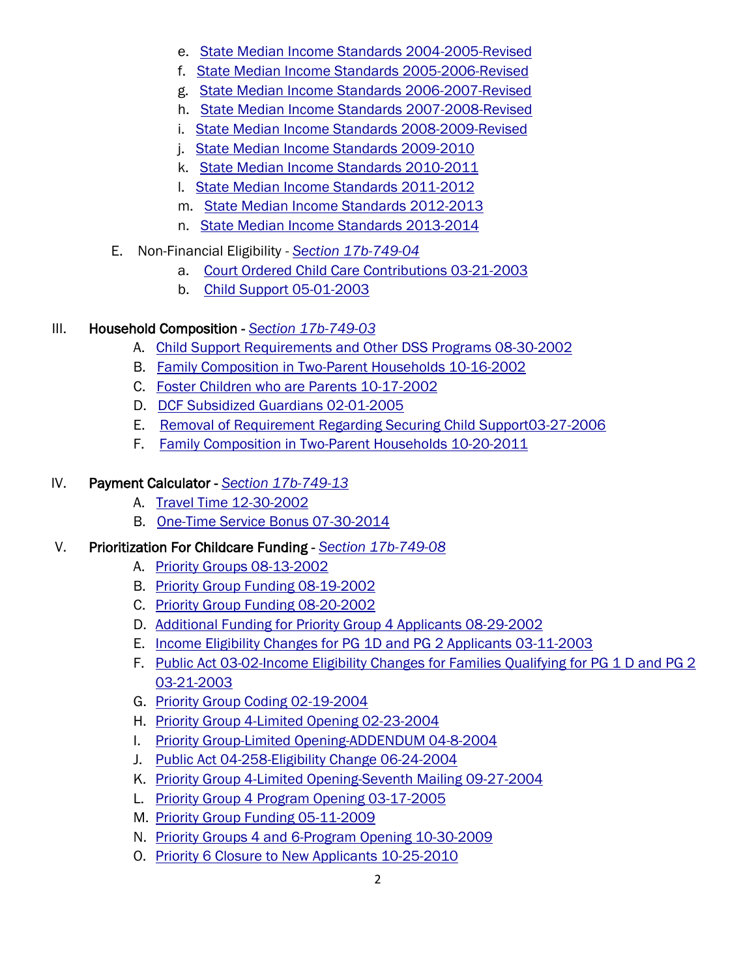- e. [State Median Income Standards 2004-2005-Revised](http://www.ct.gov/oec/lib/oec/earlycare/c4k/transmittals/3_eligibility/d_financial/e-statemedianincomestandards2004-2005-revised.pdf)
- f. [State Median Income Standards 2005-2006-Revised](http://www.ct.gov/oec/lib/oec/earlycare/c4k/transmittals/3_eligibility/d_financial/f-statemedianincomestandards2005-2006-revised.pdf)
- g. [State Median Income Standards 2006-2007-Revised](http://www.ct.gov/oec/lib/oec/earlycare/c4k/transmittals/3_eligibility/d_financial/g-statemedianincomestandards2006-2007-revised.pdf)
- h. [State Median Income Standards 2007-2008-Revised](http://www.ct.gov/oec/lib/oec/earlycare/c4k/transmittals/3_eligibility/d_financial/h-statemedianincomestandards2007-2008-revised.pdf)
- i. [State Median Income Standards 2008-2009-Revised](http://www.ct.gov/oec/lib/oec/earlycare/c4k/transmittals/3_eligibility/d_financial/i-statemedianincomestandards2008-2009-revised.pdf)
- j. [State Median Income Standards 2009-2010](http://www.ct.gov/oec/lib/oec/earlycare/c4k/transmittals/3_eligibility/d_financial/j-statemedianincomestandards2009-2010-revised.pdf)
- k. [State Median Income Standards 2010-2011](http://www.ct.gov/oec/lib/oec/earlycare/c4k/transmittals/3_eligibility/d_financial/k-statemedianincomestandards2010-2011.pdf)
- l. [State Median Income Standards 2011-2012](http://www.ct.gov/oec/lib/oec/earlycare/c4k/transmittals/3_eligibility/d_financial/l-statemedianincomestandards2011-2012.pdf)
- m. [State Median Income Standards 2012-2013](http://www.ct.gov/oec/lib/oec/earlycare/c4k/transmittals/3_eligibility/d_financial/m-statemedianincomestandards2012-2013.pdf)
- n. [State Median Income Standards 2013-2014](http://www.ct.gov/oec/lib/oec/earlycare/c4k/transmittals/3_eligibility/d_financial/n-statemedianincomestandards2013-2014.pdf)
- E. Non-Financial Eligibility *- [Section 17b-749-04](http://www.ct.gov/oec/cwp/view.asp?a=4541&q=545048#17b74904)*
	- a. [Court Ordered Child Care Contributions 03-21-2003](http://www.ct.gov/oec/lib/oec/earlycare/c4k/transmittals/3_eligibility/e_non_financial/a._courtorderedchildcarecontributions03-21-2003.pdf)
	- b. [Child Support 05-01-2003](http://www.ct.gov/oec/lib/oec/earlycare/c4k/transmittals/3_eligibility/e_non_financial/b._childsupport05-01-2003.pdf)

### III. Household Composition - *[Section 17b-749-03](http://www.ct.gov/oec/cwp/view.asp?a=4541&q=545048#17b74903)*

- A. [Child Support Requirements and Other DSS Programs 08-30-2002](http://www.ct.gov/oec/lib/oec/earlycare/c4k/transmittals/4_household/a-childsupportrequirementsandotherdssprograms08-30-2002.pdf)
- B. [Family Composition in Two-Parent Households 10-16-2002](http://www.ct.gov/oec/lib/oec/earlycare/c4k/transmittals/4_household/b-familycompositionintwo-parenthouseholds10-16-2002.pdf)
- C. [Foster Children who are Parents 10-17-2002](http://www.ct.gov/oec/lib/oec/earlycare/c4k/transmittals/4_household/c-fosterchildrenwhoareparents10-17-2002.pdf)
- D. [DCF Subsidized Guardians 02-01-2005](http://www.ct.gov/oec/lib/oec/earlycare/c4k/transmittals/4_household/d-dcf-subsidizedguardians02-01-2005.pdf)
- E. [Removal of Requirement Regarding Securing Child Support03-27-2006](http://www.ct.gov/oec/lib/oec/earlycare/c4k/transmittals/4_household/e-removalofrequirementregardingsecuringchildsupport03-27-2006.pdf)
- F. [Family Composition in Two-Parent Households 10-20-2011](http://www.ct.gov/oec/lib/oec/earlycare/c4k/transmittals/4_household/f-familycompositionintwo-parenthouseholds10-20-2011.pdf)

## IV. Payment Calculator - *[Section 17b-749-13](http://www.ct.gov/oec/cwp/view.asp?a=4541&q=545048#17b74913)*

- A. [Travel Time 12-30-2002](http://www.ct.gov/oec/lib/oec/earlycare/c4k/transmittals/5_calculator/a-traveltime12-30-2002.pdf)
- B. [One-Time Service Bonus 07-30-2014](http://www.ct.gov/oec/lib/oec/earlycare/c4k/transmittals/5_calculator/b-one-timeservicebonus07-30-2014.pdf)

### V. Prioritization For Childcare Funding - *[Section 17b-749-08](http://www.ct.gov/oec/cwp/view.asp?a=4541&q=545048#17b74908)*

- A. [Priority Groups 08-13-2002](http://www.ct.gov/oec/lib/oec/earlycare/c4k/transmittals/6_prioritization/a-prioritygroups08-13-2002.pdf)
- B. [Priority Group Funding 08-19-2002](http://www.ct.gov/oec/lib/oec/earlycare/c4k/transmittals/6_prioritization/b-prioritygroupfunding08-19-2002.pdf)
- C. [Priority Group Funding 08-20-2002](http://www.ct.gov/oec/lib/oec/earlycare/c4k/transmittals/6_prioritization/c-prioirtygroupfunding08-20-2002.pdf)
- D. [Additional Funding for Priority Group 4 Applicants 08-29-2002](http://www.ct.gov/oec/lib/oec/earlycare/c4k/transmittals/6_prioritization/d-additionalfundingforprioritygroup4applicants08-29-2002.pdf)
- E. [Income Eligibility Changes for PG 1D and PG 2 Applicants 03-11-2003](http://www.ct.gov/oec/lib/oec/earlycare/c4k/transmittals/6_prioritization/e-incomeeligibilitychangesforpg1dandpg2-03-11-2003.pdf)
- F. Public Act 03-02-Income Eligibility Changes for Families Qualifying for PG 1 D and PG 2 [03-21-2003](http://www.ct.gov/oec/lib/oec/earlycare/c4k/transmittals/6_prioritization/f-publicact03-02incomeeligibilitychanges03-21-2003.pdf)
- G. [Priority Group Coding 02-19-2004](http://www.ct.gov/oec/lib/oec/earlycare/c4k/transmittals/6_prioritization/g-prioritygroupcoding02-19-2004.pdf)
- H. [Priority Group 4-Limited Opening 02-23-2004](http://www.ct.gov/oec/lib/oec/earlycare/c4k/transmittals/6_prioritization/h-prioritygroup4-limitedopening02-23-2004.pdf)
- I. [Priority Group-Limited Opening-ADDENDUM 04-8-2004](http://www.ct.gov/oec/lib/oec/earlycare/c4k/transmittals/6_prioritization/i-prioritygroup-limitedopening-addendum08-08-2004.pdf)
- J. [Public Act 04-258-Eligibility Change 06-24-2004](http://www.ct.gov/oec/lib/oec/earlycare/c4k/transmittals/6_prioritization/j-publicact04-258-eligibilitychange06-24-2004.pdf)
- K. [Priority Group 4-Limited Opening-Seventh Mailing 09-27-2004](http://www.ct.gov/oec/lib/oec/earlycare/c4k/transmittals/6_prioritization/k-prioritygroup4limitedopening-seventhmailing-09-27-2004.pdf)
- L. [Priority Group 4 Program Opening 03-17-2005](http://www.ct.gov/oec/lib/oec/earlycare/c4k/transmittals/6_prioritization/l-prioritygroup4programopening03-17-2005.pdf)
- M. [Priority Group Funding 05-11-2009](http://www.ct.gov/oec/lib/oec/earlycare/c4k/transmittals/6_prioritization/m-prioritygroupfunding05-11-2009.pdf)
- N. [Priority Groups 4 and 6-Program Opening 10-30-2009](http://www.ct.gov/oec/lib/oec/earlycare/c4k/transmittals/6_prioritization/n-prioritygroups4and6-programopening10-30-2009.pdf)
- O. [Priority 6 Closure to New Applicants 10-25-2010](http://www.ct.gov/oec/lib/oec/earlycare/c4k/transmittals/6_prioritization/o-priority6closuretonewapplicants10-25-2010.pdf)